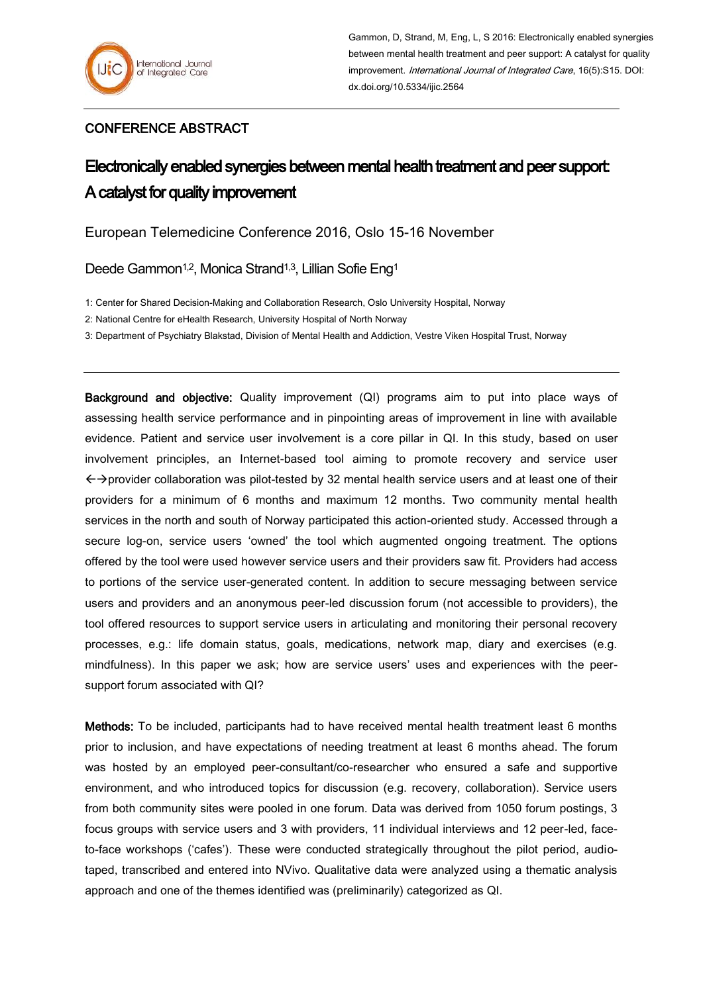## CONFERENCE ABSTRACT

## Electronically enabled synergies between mental health treatment and peer support: A catalyst for quality improvement

European Telemedicine Conference 2016, Oslo 15-16 November

Deede Gammon<sup>1,2</sup>, Monica Strand<sup>1,3</sup>, Lillian Sofie Eng<sup>1</sup>

1: Center for Shared Decision-Making and Collaboration Research, Oslo University Hospital, Norway

2: National Centre for eHealth Research, University Hospital of North Norway

3: Department of Psychiatry Blakstad, Division of Mental Health and Addiction, Vestre Viken Hospital Trust, Norway

Background and objective: Quality improvement (QI) programs aim to put into place ways of assessing health service performance and in pinpointing areas of improvement in line with available evidence. Patient and service user involvement is a core pillar in QI. In this study, based on user involvement principles, an Internet-based tool aiming to promote recovery and service user  $\leftrightarrow$   $\rightarrow$  provider collaboration was pilot-tested by 32 mental health service users and at least one of their providers for a minimum of 6 months and maximum 12 months. Two community mental health services in the north and south of Norway participated this action-oriented study. Accessed through a secure log-on, service users 'owned' the tool which augmented ongoing treatment. The options offered by the tool were used however service users and their providers saw fit. Providers had access to portions of the service user-generated content. In addition to secure messaging between service users and providers and an anonymous peer-led discussion forum (not accessible to providers), the tool offered resources to support service users in articulating and monitoring their personal recovery processes, e.g.: life domain status, goals, medications, network map, diary and exercises (e.g. mindfulness). In this paper we ask; how are service users' uses and experiences with the peersupport forum associated with QI?

Methods: To be included, participants had to have received mental health treatment least 6 months prior to inclusion, and have expectations of needing treatment at least 6 months ahead. The forum was hosted by an employed peer-consultant/co-researcher who ensured a safe and supportive environment, and who introduced topics for discussion (e.g. recovery, collaboration). Service users from both community sites were pooled in one forum. Data was derived from 1050 forum postings, 3 focus groups with service users and 3 with providers, 11 individual interviews and 12 peer-led, faceto-face workshops ('cafes'). These were conducted strategically throughout the pilot period, audiotaped, transcribed and entered into NVivo. Qualitative data were analyzed using a thematic analysis approach and one of the themes identified was (preliminarily) categorized as QI.